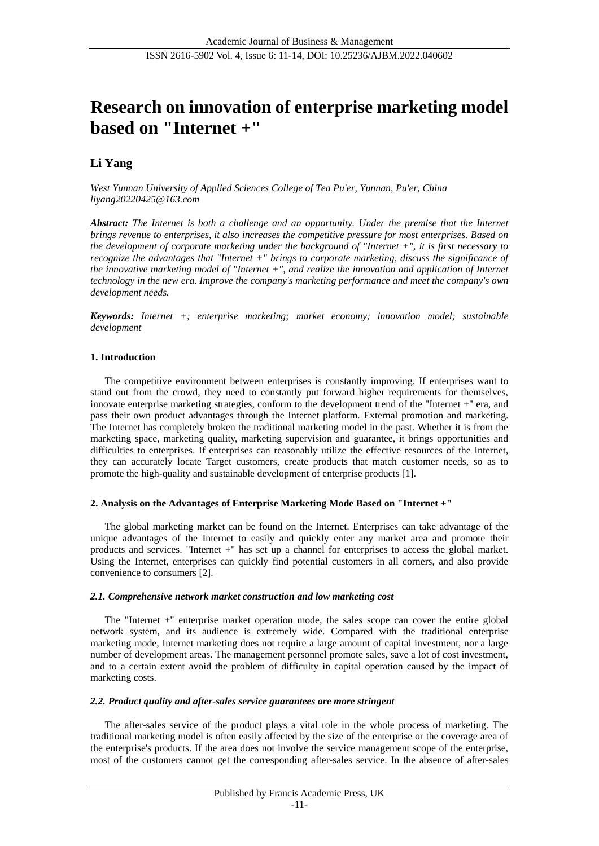# **Research on innovation of enterprise marketing model based on "Internet +"**

# **Li Yang**

*West Yunnan University of Applied Sciences College of Tea Pu'er, Yunnan, Pu'er, China liyang20220425@163.com*

*Abstract: The Internet is both a challenge and an opportunity. Under the premise that the Internet brings revenue to enterprises, it also increases the competitive pressure for most enterprises. Based on the development of corporate marketing under the background of "Internet +", it is first necessary to recognize the advantages that "Internet +" brings to corporate marketing, discuss the significance of the innovative marketing model of "Internet +", and realize the innovation and application of Internet technology in the new era. Improve the company's marketing performance and meet the company's own development needs.*

*Keywords: Internet +; enterprise marketing; market economy; innovation model; sustainable development*

#### **1. Introduction**

The competitive environment between enterprises is constantly improving. If enterprises want to stand out from the crowd, they need to constantly put forward higher requirements for themselves, innovate enterprise marketing strategies, conform to the development trend of the "Internet +" era, and pass their own product advantages through the Internet platform. External promotion and marketing. The Internet has completely broken the traditional marketing model in the past. Whether it is from the marketing space, marketing quality, marketing supervision and guarantee, it brings opportunities and difficulties to enterprises. If enterprises can reasonably utilize the effective resources of the Internet, they can accurately locate Target customers, create products that match customer needs, so as to promote the high-quality and sustainable development of enterprise products [1].

#### **2. Analysis on the Advantages of Enterprise Marketing Mode Based on "Internet +"**

The global marketing market can be found on the Internet. Enterprises can take advantage of the unique advantages of the Internet to easily and quickly enter any market area and promote their products and services. "Internet +" has set up a channel for enterprises to access the global market. Using the Internet, enterprises can quickly find potential customers in all corners, and also provide convenience to consumers [2].

#### *2.1. Comprehensive network market construction and low marketing cost*

The "Internet +" enterprise market operation mode, the sales scope can cover the entire global network system, and its audience is extremely wide. Compared with the traditional enterprise marketing mode, Internet marketing does not require a large amount of capital investment, nor a large number of development areas. The management personnel promote sales, save a lot of cost investment, and to a certain extent avoid the problem of difficulty in capital operation caused by the impact of marketing costs.

#### *2.2. Product quality and after-sales service guarantees are more stringent*

The after-sales service of the product plays a vital role in the whole process of marketing. The traditional marketing model is often easily affected by the size of the enterprise or the coverage area of the enterprise's products. If the area does not involve the service management scope of the enterprise, most of the customers cannot get the corresponding after-sales service. In the absence of after-sales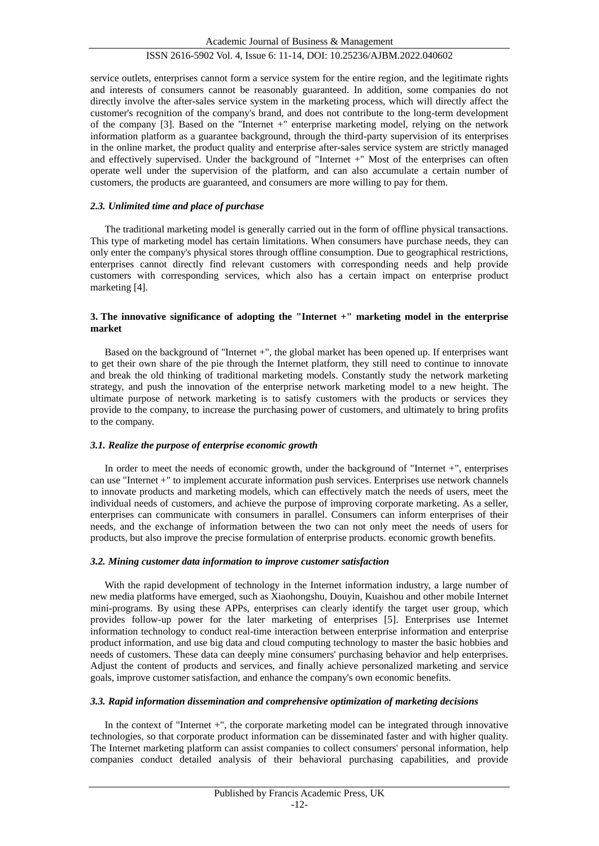## ISSN 2616-5902 Vol. 4, Issue 6: 11-14, DOI: 10.25236/AJBM.2022.040602

service outlets, enterprises cannot form a service system for the entire region, and the legitimate rights and interests of consumers cannot be reasonably guaranteed. In addition, some companies do not directly involve the after-sales service system in the marketing process, which will directly affect the customer's recognition of the company's brand, and does not contribute to the long-term development of the company [3]. Based on the "Internet +" enterprise marketing model, relying on the network information platform as a guarantee background, through the third-party supervision of its enterprises in the online market, the product quality and enterprise after-sales service system are strictly managed and effectively supervised. Under the background of "Internet +" Most of the enterprises can often operate well under the supervision of the platform, and can also accumulate a certain number of customers, the products are guaranteed, and consumers are more willing to pay for them.

#### *2.3. Unlimited time and place of purchase*

The traditional marketing model is generally carried out in the form of offline physical transactions. This type of marketing model has certain limitations. When consumers have purchase needs, they can only enter the company's physical stores through offline consumption. Due to geographical restrictions, enterprises cannot directly find relevant customers with corresponding needs and help provide customers with corresponding services, which also has a certain impact on enterprise product marketing [4].

#### **3. The innovative significance of adopting the "Internet +" marketing model in the enterprise market**

Based on the background of "Internet +", the global market has been opened up. If enterprises want to get their own share of the pie through the Internet platform, they still need to continue to innovate and break the old thinking of traditional marketing models. Constantly study the network marketing strategy, and push the innovation of the enterprise network marketing model to a new height. The ultimate purpose of network marketing is to satisfy customers with the products or services they provide to the company, to increase the purchasing power of customers, and ultimately to bring profits to the company.

#### *3.1. Realize the purpose of enterprise economic growth*

In order to meet the needs of economic growth, under the background of "Internet +", enterprises can use "Internet +" to implement accurate information push services. Enterprises use network channels to innovate products and marketing models, which can effectively match the needs of users, meet the individual needs of customers, and achieve the purpose of improving corporate marketing. As a seller, enterprises can communicate with consumers in parallel. Consumers can inform enterprises of their needs, and the exchange of information between the two can not only meet the needs of users for products, but also improve the precise formulation of enterprise products. economic growth benefits.

#### *3.2. Mining customer data information to improve customer satisfaction*

With the rapid development of technology in the Internet information industry, a large number of new media platforms have emerged, such as Xiaohongshu, Douyin, Kuaishou and other mobile Internet mini-programs. By using these APPs, enterprises can clearly identify the target user group, which provides follow-up power for the later marketing of enterprises [5]. Enterprises use Internet information technology to conduct real-time interaction between enterprise information and enterprise product information, and use big data and cloud computing technology to master the basic hobbies and needs of customers. These data can deeply mine consumers' purchasing behavior and help enterprises. Adjust the content of products and services, and finally achieve personalized marketing and service goals, improve customer satisfaction, and enhance the company's own economic benefits.

### *3.3. Rapid information dissemination and comprehensive optimization of marketing decisions*

In the context of "Internet +", the corporate marketing model can be integrated through innovative technologies, so that corporate product information can be disseminated faster and with higher quality. The Internet marketing platform can assist companies to collect consumers' personal information, help companies conduct detailed analysis of their behavioral purchasing capabilities, and provide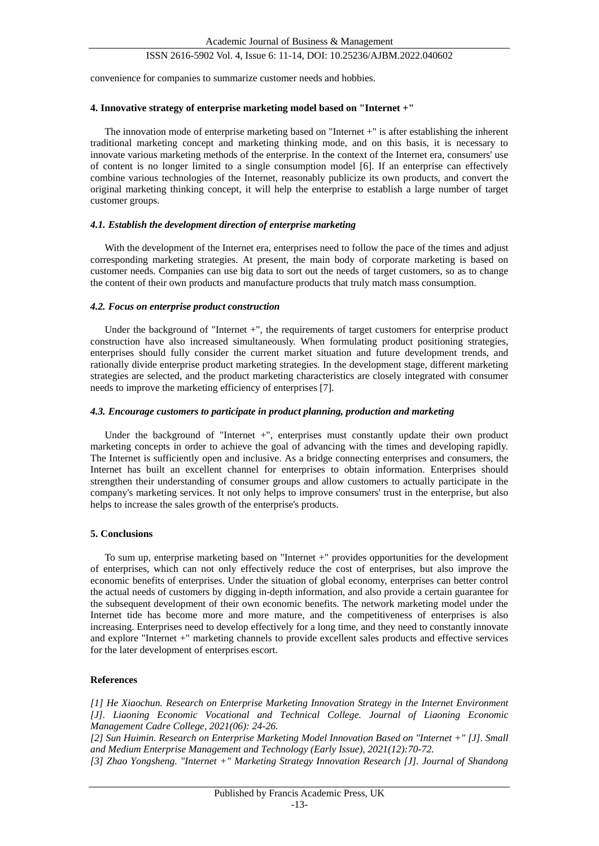#### ISSN 2616-5902 Vol. 4, Issue 6: 11-14, DOI: 10.25236/AJBM.2022.040602

convenience for companies to summarize customer needs and hobbies.

#### **4. Innovative strategy of enterprise marketing model based on "Internet +"**

The innovation mode of enterprise marketing based on "Internet +" is after establishing the inherent traditional marketing concept and marketing thinking mode, and on this basis, it is necessary to innovate various marketing methods of the enterprise. In the context of the Internet era, consumers' use of content is no longer limited to a single consumption model [6]. If an enterprise can effectively combine various technologies of the Internet, reasonably publicize its own products, and convert the original marketing thinking concept, it will help the enterprise to establish a large number of target customer groups.

#### *4.1. Establish the development direction of enterprise marketing*

With the development of the Internet era, enterprises need to follow the pace of the times and adjust corresponding marketing strategies. At present, the main body of corporate marketing is based on customer needs. Companies can use big data to sort out the needs of target customers, so as to change the content of their own products and manufacture products that truly match mass consumption.

#### *4.2. Focus on enterprise product construction*

Under the background of "Internet +", the requirements of target customers for enterprise product construction have also increased simultaneously. When formulating product positioning strategies, enterprises should fully consider the current market situation and future development trends, and rationally divide enterprise product marketing strategies. In the development stage, different marketing strategies are selected, and the product marketing characteristics are closely integrated with consumer needs to improve the marketing efficiency of enterprises [7].

#### *4.3. Encourage customers to participate in product planning, production and marketing*

Under the background of "Internet +", enterprises must constantly update their own product marketing concepts in order to achieve the goal of advancing with the times and developing rapidly. The Internet is sufficiently open and inclusive. As a bridge connecting enterprises and consumers, the Internet has built an excellent channel for enterprises to obtain information. Enterprises should strengthen their understanding of consumer groups and allow customers to actually participate in the company's marketing services. It not only helps to improve consumers' trust in the enterprise, but also helps to increase the sales growth of the enterprise's products.

#### **5. Conclusions**

To sum up, enterprise marketing based on "Internet +" provides opportunities for the development of enterprises, which can not only effectively reduce the cost of enterprises, but also improve the economic benefits of enterprises. Under the situation of global economy, enterprises can better control the actual needs of customers by digging in-depth information, and also provide a certain guarantee for the subsequent development of their own economic benefits. The network marketing model under the Internet tide has become more and more mature, and the competitiveness of enterprises is also increasing. Enterprises need to develop effectively for a long time, and they need to constantly innovate and explore "Internet +" marketing channels to provide excellent sales products and effective services for the later development of enterprises escort.

#### **References**

*[1] He Xiaochun. Research on Enterprise Marketing Innovation Strategy in the Internet Environment [J]. Liaoning Economic Vocational and Technical College. Journal of Liaoning Economic Management Cadre College, 2021(06): 24-26.*

*[2] Sun Huimin. Research on Enterprise Marketing Model Innovation Based on "Internet +" [J]. Small and Medium Enterprise Management and Technology (Early Issue), 2021(12):70-72.*

*[3] Zhao Yongsheng. "Internet +" Marketing Strategy Innovation Research [J]. Journal of Shandong*